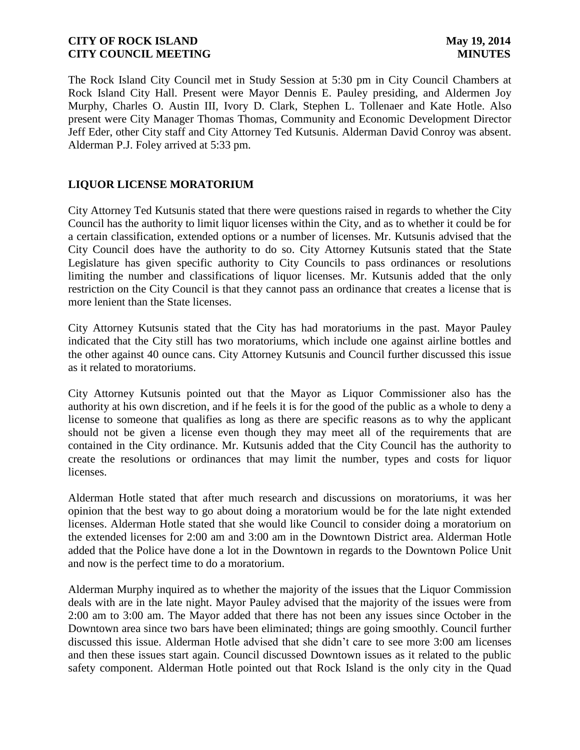The Rock Island City Council met in Study Session at 5:30 pm in City Council Chambers at Rock Island City Hall. Present were Mayor Dennis E. Pauley presiding, and Aldermen Joy Murphy, Charles O. Austin III, Ivory D. Clark, Stephen L. Tollenaer and Kate Hotle. Also present were City Manager Thomas Thomas, Community and Economic Development Director Jeff Eder, other City staff and City Attorney Ted Kutsunis. Alderman David Conroy was absent. Alderman P.J. Foley arrived at 5:33 pm.

# **LIQUOR LICENSE MORATORIUM**

City Attorney Ted Kutsunis stated that there were questions raised in regards to whether the City Council has the authority to limit liquor licenses within the City, and as to whether it could be for a certain classification, extended options or a number of licenses. Mr. Kutsunis advised that the City Council does have the authority to do so. City Attorney Kutsunis stated that the State Legislature has given specific authority to City Councils to pass ordinances or resolutions limiting the number and classifications of liquor licenses. Mr. Kutsunis added that the only restriction on the City Council is that they cannot pass an ordinance that creates a license that is more lenient than the State licenses.

City Attorney Kutsunis stated that the City has had moratoriums in the past. Mayor Pauley indicated that the City still has two moratoriums, which include one against airline bottles and the other against 40 ounce cans. City Attorney Kutsunis and Council further discussed this issue as it related to moratoriums.

City Attorney Kutsunis pointed out that the Mayor as Liquor Commissioner also has the authority at his own discretion, and if he feels it is for the good of the public as a whole to deny a license to someone that qualifies as long as there are specific reasons as to why the applicant should not be given a license even though they may meet all of the requirements that are contained in the City ordinance. Mr. Kutsunis added that the City Council has the authority to create the resolutions or ordinances that may limit the number, types and costs for liquor licenses.

Alderman Hotle stated that after much research and discussions on moratoriums, it was her opinion that the best way to go about doing a moratorium would be for the late night extended licenses. Alderman Hotle stated that she would like Council to consider doing a moratorium on the extended licenses for 2:00 am and 3:00 am in the Downtown District area. Alderman Hotle added that the Police have done a lot in the Downtown in regards to the Downtown Police Unit and now is the perfect time to do a moratorium.

Alderman Murphy inquired as to whether the majority of the issues that the Liquor Commission deals with are in the late night. Mayor Pauley advised that the majority of the issues were from 2:00 am to 3:00 am. The Mayor added that there has not been any issues since October in the Downtown area since two bars have been eliminated; things are going smoothly. Council further discussed this issue. Alderman Hotle advised that she didn't care to see more 3:00 am licenses and then these issues start again. Council discussed Downtown issues as it related to the public safety component. Alderman Hotle pointed out that Rock Island is the only city in the Quad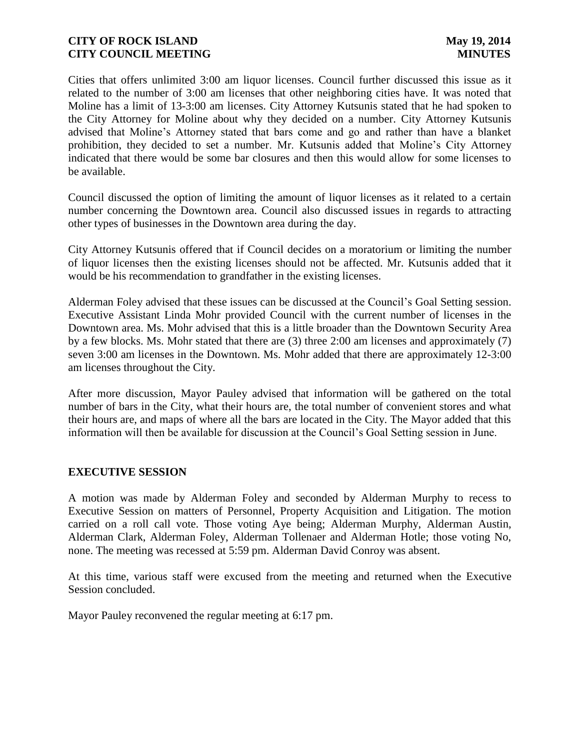Cities that offers unlimited 3:00 am liquor licenses. Council further discussed this issue as it related to the number of 3:00 am licenses that other neighboring cities have. It was noted that Moline has a limit of 13-3:00 am licenses. City Attorney Kutsunis stated that he had spoken to the City Attorney for Moline about why they decided on a number. City Attorney Kutsunis advised that Moline's Attorney stated that bars come and go and rather than have a blanket prohibition, they decided to set a number. Mr. Kutsunis added that Moline's City Attorney indicated that there would be some bar closures and then this would allow for some licenses to be available.

Council discussed the option of limiting the amount of liquor licenses as it related to a certain number concerning the Downtown area. Council also discussed issues in regards to attracting other types of businesses in the Downtown area during the day.

City Attorney Kutsunis offered that if Council decides on a moratorium or limiting the number of liquor licenses then the existing licenses should not be affected. Mr. Kutsunis added that it would be his recommendation to grandfather in the existing licenses.

Alderman Foley advised that these issues can be discussed at the Council's Goal Setting session. Executive Assistant Linda Mohr provided Council with the current number of licenses in the Downtown area. Ms. Mohr advised that this is a little broader than the Downtown Security Area by a few blocks. Ms. Mohr stated that there are (3) three 2:00 am licenses and approximately (7) seven 3:00 am licenses in the Downtown. Ms. Mohr added that there are approximately 12-3:00 am licenses throughout the City.

After more discussion, Mayor Pauley advised that information will be gathered on the total number of bars in the City, what their hours are, the total number of convenient stores and what their hours are, and maps of where all the bars are located in the City. The Mayor added that this information will then be available for discussion at the Council's Goal Setting session in June.

#### **EXECUTIVE SESSION**

A motion was made by Alderman Foley and seconded by Alderman Murphy to recess to Executive Session on matters of Personnel, Property Acquisition and Litigation. The motion carried on a roll call vote. Those voting Aye being; Alderman Murphy, Alderman Austin, Alderman Clark, Alderman Foley, Alderman Tollenaer and Alderman Hotle; those voting No, none. The meeting was recessed at 5:59 pm. Alderman David Conroy was absent.

At this time, various staff were excused from the meeting and returned when the Executive Session concluded.

Mayor Pauley reconvened the regular meeting at 6:17 pm.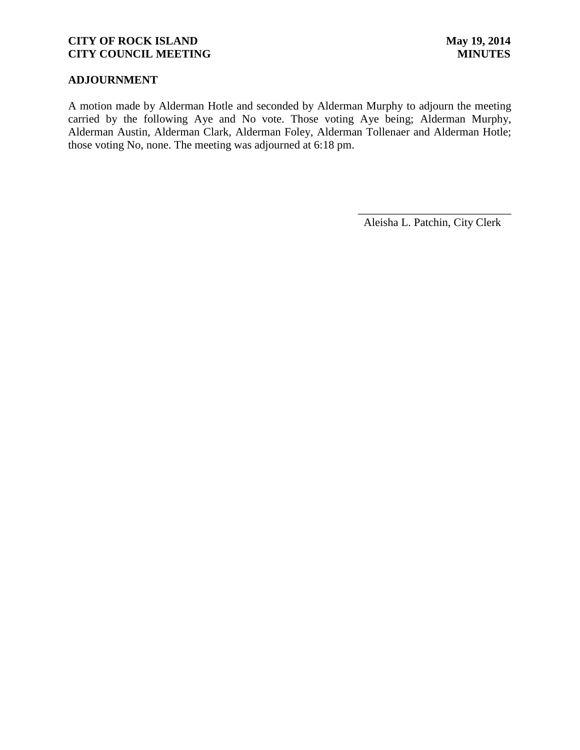## **ADJOURNMENT**

A motion made by Alderman Hotle and seconded by Alderman Murphy to adjourn the meeting carried by the following Aye and No vote. Those voting Aye being; Alderman Murphy, Alderman Austin, Alderman Clark, Alderman Foley, Alderman Tollenaer and Alderman Hotle; those voting No, none. The meeting was adjourned at 6:18 pm.

Aleisha L. Patchin, City Clerk

 $\frac{1}{2}$  , and the set of the set of the set of the set of the set of the set of the set of the set of the set of the set of the set of the set of the set of the set of the set of the set of the set of the set of the set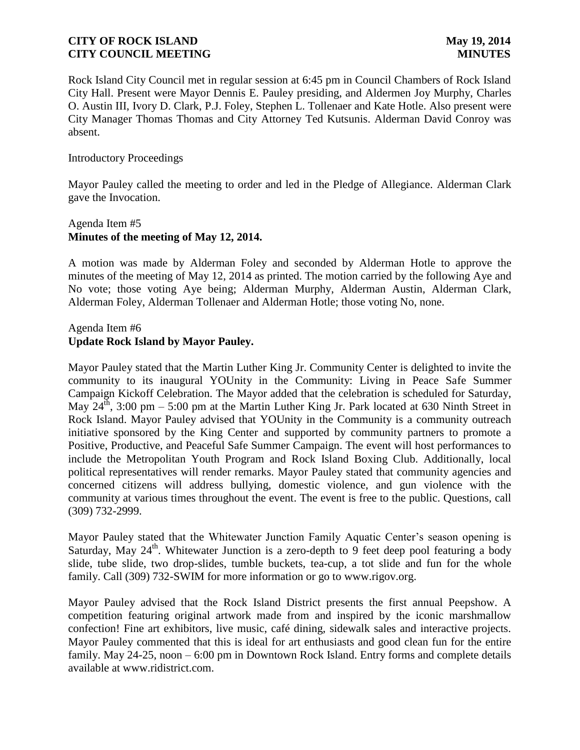Rock Island City Council met in regular session at 6:45 pm in Council Chambers of Rock Island City Hall. Present were Mayor Dennis E. Pauley presiding, and Aldermen Joy Murphy, Charles O. Austin III, Ivory D. Clark, P.J. Foley, Stephen L. Tollenaer and Kate Hotle. Also present were City Manager Thomas Thomas and City Attorney Ted Kutsunis. Alderman David Conroy was absent.

#### Introductory Proceedings

Mayor Pauley called the meeting to order and led in the Pledge of Allegiance. Alderman Clark gave the Invocation.

## Agenda Item #5 **Minutes of the meeting of May 12, 2014.**

A motion was made by Alderman Foley and seconded by Alderman Hotle to approve the minutes of the meeting of May 12, 2014 as printed. The motion carried by the following Aye and No vote; those voting Aye being; Alderman Murphy, Alderman Austin, Alderman Clark, Alderman Foley, Alderman Tollenaer and Alderman Hotle; those voting No, none.

## Agenda Item #6 **Update Rock Island by Mayor Pauley.**

Mayor Pauley stated that the Martin Luther King Jr. Community Center is delighted to invite the community to its inaugural YOUnity in the Community: Living in Peace Safe Summer Campaign Kickoff Celebration. The Mayor added that the celebration is scheduled for Saturday, May  $24^{\text{th}}$ , 3:00 pm – 5:00 pm at the Martin Luther King Jr. Park located at 630 Ninth Street in Rock Island. Mayor Pauley advised that YOUnity in the Community is a community outreach initiative sponsored by the King Center and supported by community partners to promote a Positive, Productive, and Peaceful Safe Summer Campaign. The event will host performances to include the Metropolitan Youth Program and Rock Island Boxing Club. Additionally, local political representatives will render remarks. Mayor Pauley stated that community agencies and concerned citizens will address bullying, domestic violence, and gun violence with the community at various times throughout the event. The event is free to the public. Questions, call (309) 732-2999.

Mayor Pauley stated that the Whitewater Junction Family Aquatic Center's season opening is Saturday, May  $24^{\text{th}}$ . Whitewater Junction is a zero-depth to 9 feet deep pool featuring a body slide, tube slide, two drop-slides, tumble buckets, tea-cup, a tot slide and fun for the whole family. Call (309) 732-SWIM for more information or go to [www.rigov.org.](http://www.rigov.org/)

Mayor Pauley advised that the Rock Island District presents the first annual Peepshow. A competition featuring original artwork made from and inspired by the iconic marshmallow confection! Fine art exhibitors, live music, café dining, sidewalk sales and interactive projects. Mayor Pauley commented that this is ideal for art enthusiasts and good clean fun for the entire family. May 24-25, noon – 6:00 pm in Downtown Rock Island. Entry forms and complete details available at www.ridistrict.com.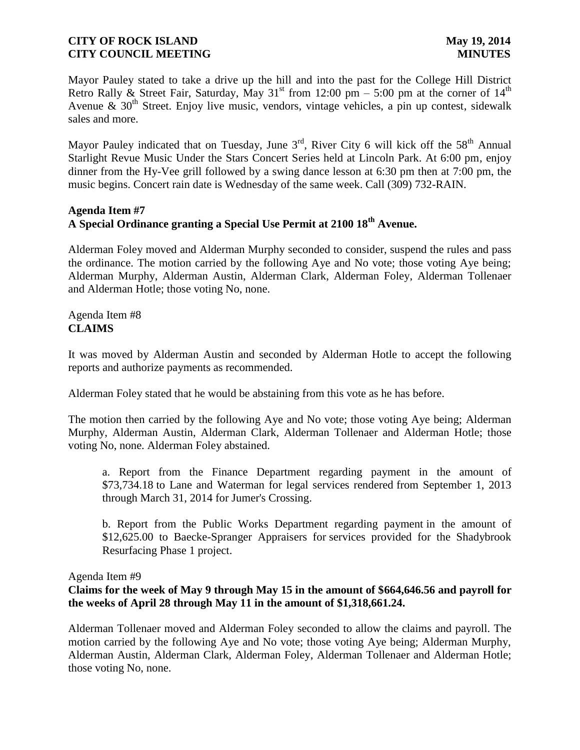Mayor Pauley stated to take a drive up the hill and into the past for the College Hill District Retro Rally & Street Fair, Saturday, May  $31<sup>st</sup>$  from 12:00 pm – 5:00 pm at the corner of  $14<sup>th</sup>$ Avenue  $\&$  30<sup>th</sup> Street. Enjoy live music, vendors, vintage vehicles, a pin up contest, sidewalk sales and more.

Mayor Pauley indicated that on Tuesday, June 3<sup>rd</sup>, River City 6 will kick off the 58<sup>th</sup> Annual Starlight Revue Music Under the Stars Concert Series held at Lincoln Park. At 6:00 pm, enjoy dinner from the Hy-Vee grill followed by a swing dance lesson at 6:30 pm then at 7:00 pm, the music begins. Concert rain date is Wednesday of the same week. Call (309) 732-RAIN.

### **Agenda Item #7 A Special Ordinance granting a Special Use Permit at 2100 18th Avenue.**

Alderman Foley moved and Alderman Murphy seconded to consider, suspend the rules and pass the ordinance. The motion carried by the following Aye and No vote; those voting Aye being; Alderman Murphy, Alderman Austin, Alderman Clark, Alderman Foley, Alderman Tollenaer and Alderman Hotle; those voting No, none.

Agenda Item #8 **CLAIMS**

It was moved by Alderman Austin and seconded by Alderman Hotle to accept the following reports and authorize payments as recommended.

Alderman Foley stated that he would be abstaining from this vote as he has before.

The motion then carried by the following Aye and No vote; those voting Aye being; Alderman Murphy, Alderman Austin, Alderman Clark, Alderman Tollenaer and Alderman Hotle; those voting No, none. Alderman Foley abstained.

a. Report from the Finance Department regarding payment in the amount of \$73,734.18 to Lane and Waterman for legal services rendered from September 1, 2013 through March 31, 2014 for Jumer's Crossing.

b. Report from the Public Works Department regarding payment in the amount of \$12,625.00 to Baecke-Spranger Appraisers for services provided for the Shadybrook Resurfacing Phase 1 project.

Agenda Item #9

## **Claims for the week of May 9 through May 15 in the amount of \$664,646.56 and payroll for the weeks of April 28 through May 11 in the amount of \$1,318,661.24.**

Alderman Tollenaer moved and Alderman Foley seconded to allow the claims and payroll. The motion carried by the following Aye and No vote; those voting Aye being; Alderman Murphy, Alderman Austin, Alderman Clark, Alderman Foley, Alderman Tollenaer and Alderman Hotle; those voting No, none.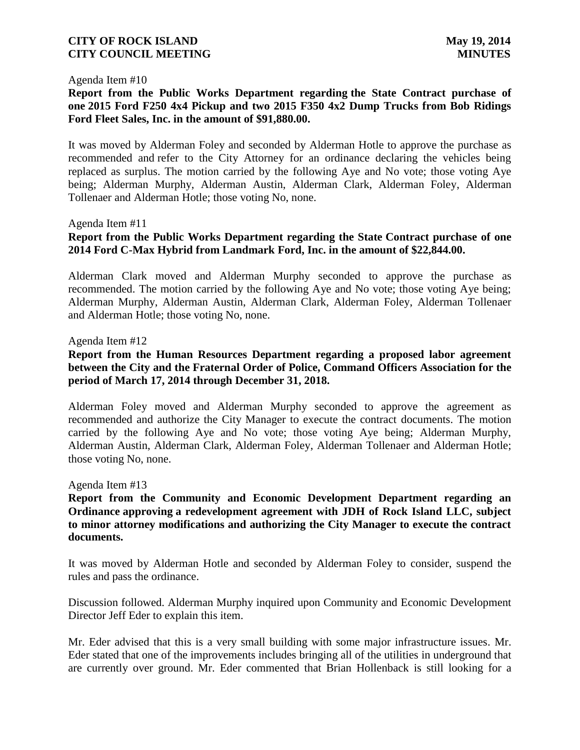#### Agenda Item #10

## **Report from the Public Works Department regarding the State Contract purchase of one 2015 Ford F250 4x4 Pickup and two 2015 F350 4x2 Dump Trucks from Bob Ridings Ford Fleet Sales, Inc. in the amount of \$91,880.00.**

It was moved by Alderman Foley and seconded by Alderman Hotle to approve the purchase as recommended and refer to the City Attorney for an ordinance declaring the vehicles being replaced as surplus. The motion carried by the following Aye and No vote; those voting Aye being; Alderman Murphy, Alderman Austin, Alderman Clark, Alderman Foley, Alderman Tollenaer and Alderman Hotle; those voting No, none.

#### Agenda Item #11

### **Report from the Public Works Department regarding the State Contract purchase of one 2014 Ford C-Max Hybrid from Landmark Ford, Inc. in the amount of \$22,844.00.**

Alderman Clark moved and Alderman Murphy seconded to approve the purchase as recommended. The motion carried by the following Aye and No vote; those voting Aye being; Alderman Murphy, Alderman Austin, Alderman Clark, Alderman Foley, Alderman Tollenaer and Alderman Hotle; those voting No, none.

#### Agenda Item #12

## **Report from the Human Resources Department regarding a proposed labor agreement between the City and the Fraternal Order of Police, Command Officers Association for the period of March 17, 2014 through December 31, 2018.**

Alderman Foley moved and Alderman Murphy seconded to approve the agreement as recommended and authorize the City Manager to execute the contract documents. The motion carried by the following Aye and No vote; those voting Aye being; Alderman Murphy, Alderman Austin, Alderman Clark, Alderman Foley, Alderman Tollenaer and Alderman Hotle; those voting No, none.

#### Agenda Item #13

**Report from the Community and Economic Development Department regarding an Ordinance approving a redevelopment agreement with JDH of Rock Island LLC, subject to minor attorney modifications and authorizing the City Manager to execute the contract documents.** 

It was moved by Alderman Hotle and seconded by Alderman Foley to consider, suspend the rules and pass the ordinance.

Discussion followed. Alderman Murphy inquired upon Community and Economic Development Director Jeff Eder to explain this item.

Mr. Eder advised that this is a very small building with some major infrastructure issues. Mr. Eder stated that one of the improvements includes bringing all of the utilities in underground that are currently over ground. Mr. Eder commented that Brian Hollenback is still looking for a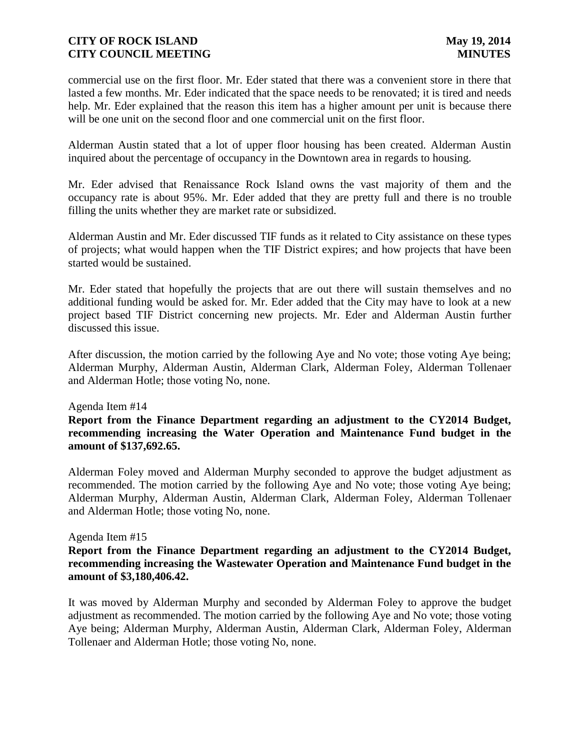commercial use on the first floor. Mr. Eder stated that there was a convenient store in there that lasted a few months. Mr. Eder indicated that the space needs to be renovated; it is tired and needs help. Mr. Eder explained that the reason this item has a higher amount per unit is because there will be one unit on the second floor and one commercial unit on the first floor.

Alderman Austin stated that a lot of upper floor housing has been created. Alderman Austin inquired about the percentage of occupancy in the Downtown area in regards to housing.

Mr. Eder advised that Renaissance Rock Island owns the vast majority of them and the occupancy rate is about 95%. Mr. Eder added that they are pretty full and there is no trouble filling the units whether they are market rate or subsidized.

Alderman Austin and Mr. Eder discussed TIF funds as it related to City assistance on these types of projects; what would happen when the TIF District expires; and how projects that have been started would be sustained.

Mr. Eder stated that hopefully the projects that are out there will sustain themselves and no additional funding would be asked for. Mr. Eder added that the City may have to look at a new project based TIF District concerning new projects. Mr. Eder and Alderman Austin further discussed this issue.

After discussion, the motion carried by the following Aye and No vote; those voting Aye being; Alderman Murphy, Alderman Austin, Alderman Clark, Alderman Foley, Alderman Tollenaer and Alderman Hotle; those voting No, none.

#### Agenda Item #14

**Report from the Finance Department regarding an adjustment to the CY2014 Budget, recommending increasing the Water Operation and Maintenance Fund budget in the amount of \$137,692.65.**

Alderman Foley moved and Alderman Murphy seconded to approve the budget adjustment as recommended. The motion carried by the following Aye and No vote; those voting Aye being; Alderman Murphy, Alderman Austin, Alderman Clark, Alderman Foley, Alderman Tollenaer and Alderman Hotle; those voting No, none.

#### Agenda Item #15

## **Report from the Finance Department regarding an adjustment to the CY2014 Budget, recommending increasing the Wastewater Operation and Maintenance Fund budget in the amount of \$3,180,406.42.**

It was moved by Alderman Murphy and seconded by Alderman Foley to approve the budget adjustment as recommended. The motion carried by the following Aye and No vote; those voting Aye being; Alderman Murphy, Alderman Austin, Alderman Clark, Alderman Foley, Alderman Tollenaer and Alderman Hotle; those voting No, none.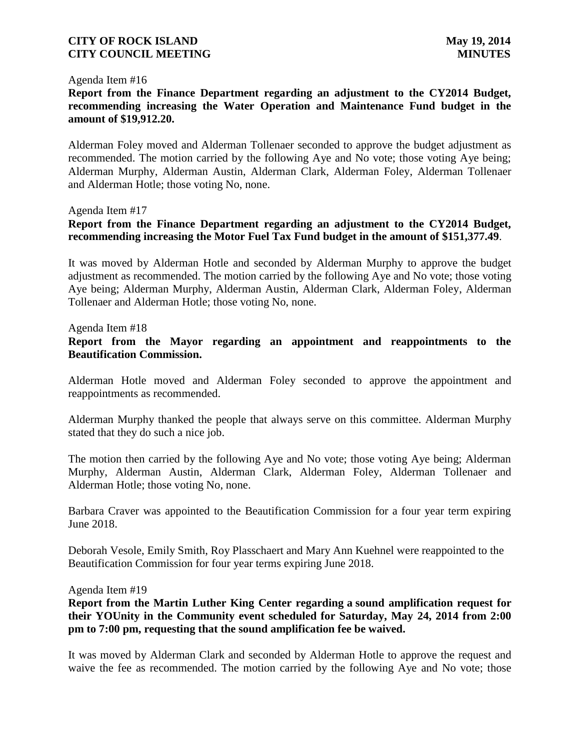#### Agenda Item #16

## **Report from the Finance Department regarding an adjustment to the CY2014 Budget, recommending increasing the Water Operation and Maintenance Fund budget in the amount of \$19,912.20.**

Alderman Foley moved and Alderman Tollenaer seconded to approve the budget adjustment as recommended. The motion carried by the following Aye and No vote; those voting Aye being; Alderman Murphy, Alderman Austin, Alderman Clark, Alderman Foley, Alderman Tollenaer and Alderman Hotle; those voting No, none.

#### Agenda Item #17

## **Report from the Finance Department regarding an adjustment to the CY2014 Budget, recommending increasing the Motor Fuel Tax Fund budget in the amount of \$151,377.49**.

It was moved by Alderman Hotle and seconded by Alderman Murphy to approve the budget adjustment as recommended. The motion carried by the following Aye and No vote; those voting Aye being; Alderman Murphy, Alderman Austin, Alderman Clark, Alderman Foley, Alderman Tollenaer and Alderman Hotle; those voting No, none.

Agenda Item #18

### **Report from the Mayor regarding an appointment and reappointments to the Beautification Commission.**

Alderman Hotle moved and Alderman Foley seconded to approve the appointment and reappointments as recommended.

Alderman Murphy thanked the people that always serve on this committee. Alderman Murphy stated that they do such a nice job.

The motion then carried by the following Aye and No vote; those voting Aye being; Alderman Murphy, Alderman Austin, Alderman Clark, Alderman Foley, Alderman Tollenaer and Alderman Hotle; those voting No, none.

Barbara Craver was appointed to the Beautification Commission for a four year term expiring June 2018.

Deborah Vesole, Emily Smith, Roy Plasschaert and Mary Ann Kuehnel were reappointed to the Beautification Commission for four year terms expiring June 2018.

Agenda Item #19

**Report from the Martin Luther King Center regarding a sound amplification request for their YOUnity in the Community event scheduled for Saturday, May 24, 2014 from 2:00 pm to 7:00 pm, requesting that the sound amplification fee be waived.**

It was moved by Alderman Clark and seconded by Alderman Hotle to approve the request and waive the fee as recommended. The motion carried by the following Aye and No vote; those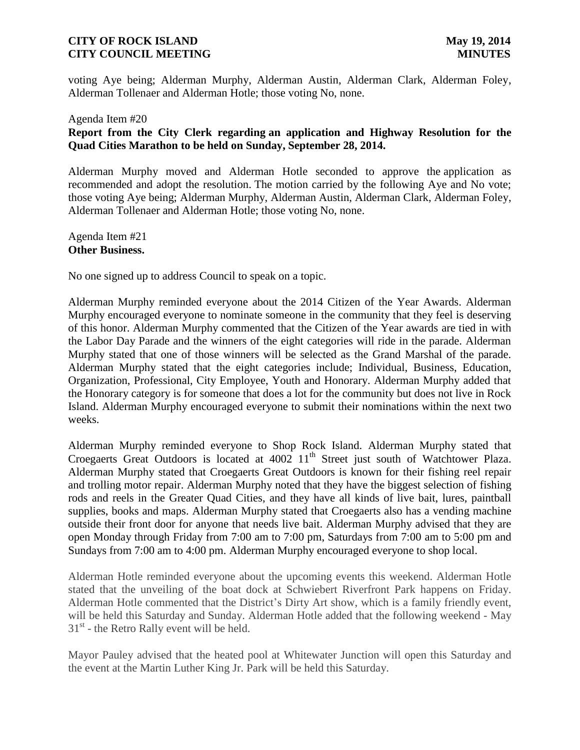voting Aye being; Alderman Murphy, Alderman Austin, Alderman Clark, Alderman Foley, Alderman Tollenaer and Alderman Hotle; those voting No, none.

# Agenda Item #20 **Report from the City Clerk regarding an application and Highway Resolution for the Quad Cities Marathon to be held on Sunday, September 28, 2014.**

Alderman Murphy moved and Alderman Hotle seconded to approve the application as recommended and adopt the resolution. The motion carried by the following Aye and No vote; those voting Aye being; Alderman Murphy, Alderman Austin, Alderman Clark, Alderman Foley, Alderman Tollenaer and Alderman Hotle; those voting No, none.

Agenda Item #21 **Other Business.**

No one signed up to address Council to speak on a topic.

Alderman Murphy reminded everyone about the 2014 Citizen of the Year Awards. Alderman Murphy encouraged everyone to nominate someone in the community that they feel is deserving of this honor. Alderman Murphy commented that the Citizen of the Year awards are tied in with the Labor Day Parade and the winners of the eight categories will ride in the parade. Alderman Murphy stated that one of those winners will be selected as the Grand Marshal of the parade. Alderman Murphy stated that the eight categories include; Individual, Business, Education, Organization, Professional, City Employee, Youth and Honorary. Alderman Murphy added that the Honorary category is for someone that does a lot for the community but does not live in Rock Island. Alderman Murphy encouraged everyone to submit their nominations within the next two weeks.

Alderman Murphy reminded everyone to Shop Rock Island. Alderman Murphy stated that Croegaerts Great Outdoors is located at 4002 11<sup>th</sup> Street just south of Watchtower Plaza. Alderman Murphy stated that Croegaerts Great Outdoors is known for their fishing reel repair and trolling motor repair. Alderman Murphy noted that they have the biggest selection of fishing rods and reels in the Greater Quad Cities, and they have all kinds of live bait, lures, paintball supplies, books and maps. Alderman Murphy stated that Croegaerts also has a vending machine outside their front door for anyone that needs live bait. Alderman Murphy advised that they are open Monday through Friday from 7:00 am to 7:00 pm, Saturdays from 7:00 am to 5:00 pm and Sundays from 7:00 am to 4:00 pm. Alderman Murphy encouraged everyone to shop local.

Alderman Hotle reminded everyone about the upcoming events this weekend. Alderman Hotle stated that the unveiling of the boat dock at Schwiebert Riverfront Park happens on Friday. Alderman Hotle commented that the District's Dirty Art show, which is a family friendly event, will be held this Saturday and Sunday. Alderman Hotle added that the following weekend - May  $31<sup>st</sup>$  - the Retro Rally event will be held.

Mayor Pauley advised that the heated pool at Whitewater Junction will open this Saturday and the event at the Martin Luther King Jr. Park will be held this Saturday.